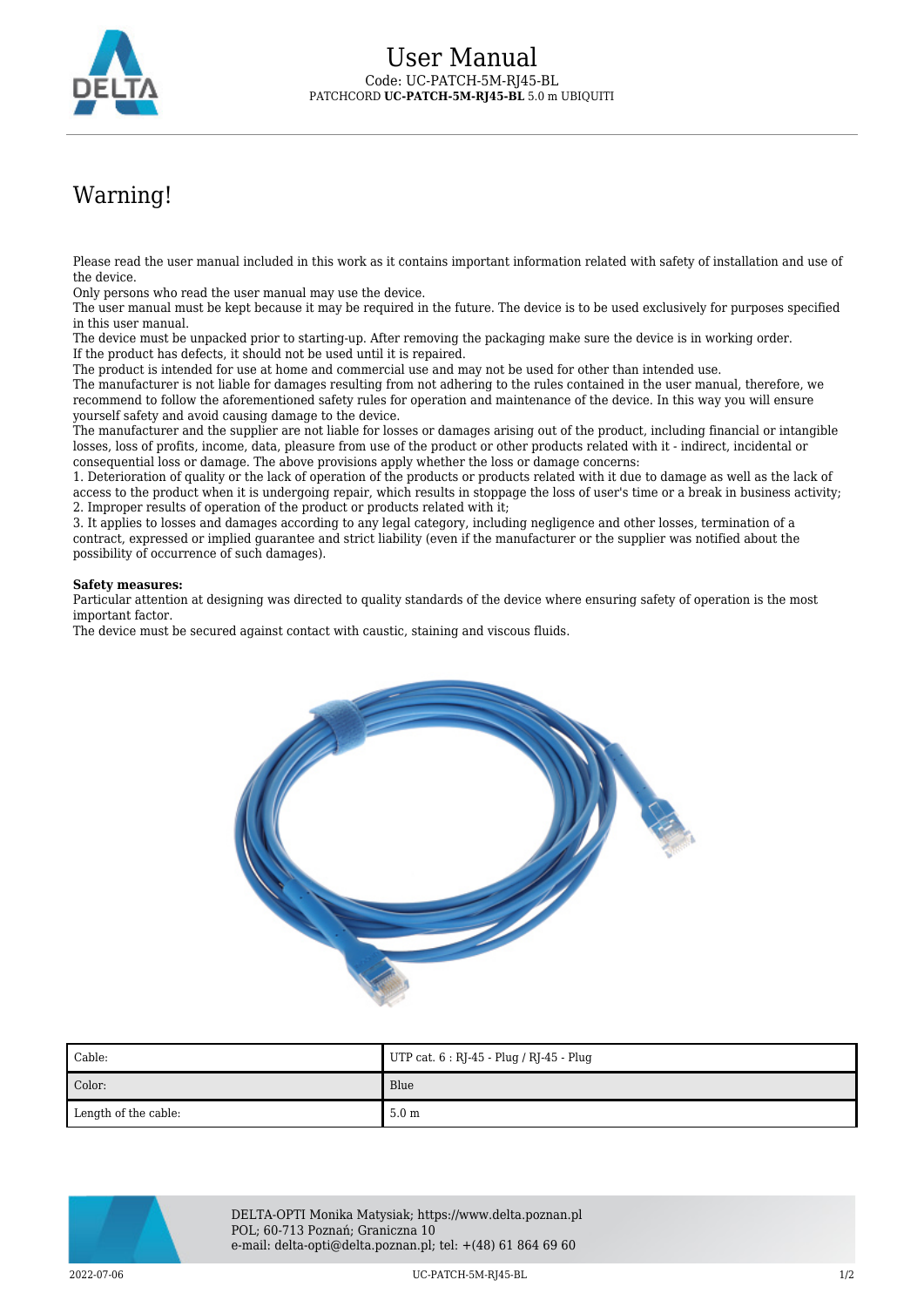

## Warning!

Please read the user manual included in this work as it contains important information related with safety of installation and use of the device.

Only persons who read the user manual may use the device.

The user manual must be kept because it may be required in the future. The device is to be used exclusively for purposes specified in this user manual.

The device must be unpacked prior to starting-up. After removing the packaging make sure the device is in working order. If the product has defects, it should not be used until it is repaired.

The product is intended for use at home and commercial use and may not be used for other than intended use.

The manufacturer is not liable for damages resulting from not adhering to the rules contained in the user manual, therefore, we recommend to follow the aforementioned safety rules for operation and maintenance of the device. In this way you will ensure yourself safety and avoid causing damage to the device.

The manufacturer and the supplier are not liable for losses or damages arising out of the product, including financial or intangible losses, loss of profits, income, data, pleasure from use of the product or other products related with it - indirect, incidental or consequential loss or damage. The above provisions apply whether the loss or damage concerns:

1. Deterioration of quality or the lack of operation of the products or products related with it due to damage as well as the lack of access to the product when it is undergoing repair, which results in stoppage the loss of user's time or a break in business activity; 2. Improper results of operation of the product or products related with it;

3. It applies to losses and damages according to any legal category, including negligence and other losses, termination of a contract, expressed or implied guarantee and strict liability (even if the manufacturer or the supplier was notified about the possibility of occurrence of such damages).

## **Safety measures:**

Particular attention at designing was directed to quality standards of the device where ensuring safety of operation is the most important factor.

The device must be secured against contact with caustic, staining and viscous fluids.



| Cable:               | UTP cat. 6 : RJ-45 - Plug / RJ-45 - Plug |
|----------------------|------------------------------------------|
| Color:               | Blue                                     |
| Length of the cable: | 5.0 <sub>m</sub>                         |



DELTA-OPTI Monika Matysiak; https://www.delta.poznan.pl POL; 60-713 Poznań; Graniczna 10 e-mail: delta-opti@delta.poznan.pl; tel: +(48) 61 864 69 60

2022-07-06 UC-PATCH-5M-RJ45-BL 1/2